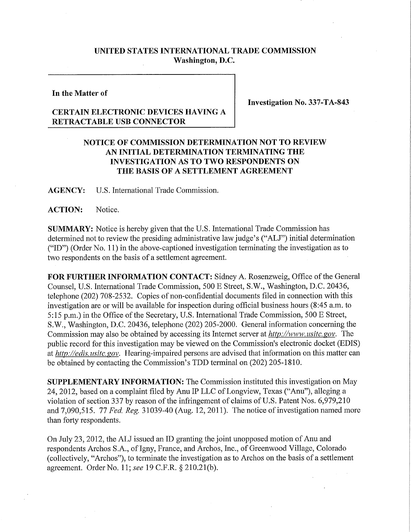## **UNITED STATES INTERNATIONAL TRADE COMMISSION Washington, D.C.**

## **In the Matter of**

**Investigation No. 337-TA-843** 

## **CERTAIN ELECTRONIC DEVICES HAVING A RETRACTABLE USB CONNECTOR**

## **NOTICE OF COMMISSION DETERMINATION NOT TO REVIEW AN INITIAL DETERMINATION TERMINATING THE INVESTIGATION AS TO TWO RESPONDENTS ON T HE BASIS OF A SETTLEMENT AGREEMENT**

**AGENCY:** U.S. International Trade Commission.

ACTION: Notice.

**SUMMARY:** Notice is hereby given that the U.S. International Trade Commission has determined not to review the presiding administrative law judge's ("ALJ") initial determination ("ID") (Order No. 11) in the above-captioned investigation terminating the investigation as to two respondents on the basis of a settlement agreement.

**FOR FURTHER INFORMATION CONTACT:** Sidney A. Rosenzweig, Office of the General Counsel, U.S. International Trade Commission, 500 E Street, S.W., Washington, D.C. 20436, telephone (202) 708-2532. Copies of non-confidential documents filed in connection with this investigation are or will be available for inspection during official business hours (8:45 a.m. to 5:15 p.m.) in the Office of the Secretary, U.S. International Trade Commission, 500 E Street, S.W., Washington, D.C. 20436, telephone (202) 205-2000. General information concerning the Commission may also be obtained by accessing its Internet server at *http://www, usitc. gov.* The public record for this investigation may be viewed on the Commission's electronic docket (EDIS) at *http://edis. usitc. gov.* Hearing-impaired persons are advised that information on this matter can be obtained by contacting the Commission's TDD terminal on (202) 205-1810.

**SUPPLEMENTARY INFORMATION:** The Commission instituted this investigation on May 24, 2012, based on a complaint filed by Anu IP LLC of Longview, Texas ("Anu"), alleging a violation of section 337 by reason of the infringement of claims of U.S. Patent Nos. 6,979,210 and 7,090,515. 77 *Fed. Reg.* 31039-40 (Aug. 12, 2011). The notice of investigation named more than forty respondents.

On July 23, 2012, the ALJ issued an ID granting the joint unopposed motion of Anu and respondents Archos S.A., of Igny, France, and Archos, Inc., of Greenwood Village, Colorado (collectively, "Archos"), to terminate the investigation as to Archos on the basis of a settlement agreement. Order No. 11; *see* 19 C.F.R. § 210.21(b).